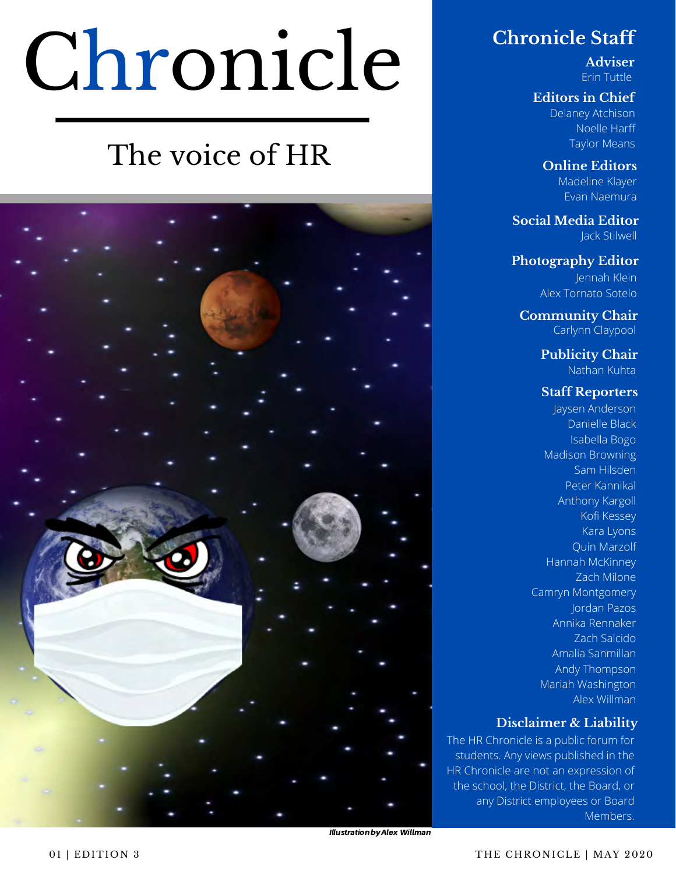# Chronicle

### The voice of HR



#### **Chronicle Staff**

**Adviser** Erin Tuttle

#### **Editors in Chief**

Delaney Atchison Noelle Harff Taylor Means

**Online Editors** Madeline Klayer Evan Naemura

**Social Media Editor** Jack Stilwell

**Photography Editor** Jennah Klein Alex Tornato Sotelo

**Community Chair** Carlynn Claypool

> **Publicity Chair** Nathan Kuhta

#### **Staff Reporters**

Jaysen Anderson Danielle Black Isabella Bogo Madison Browning Sam Hilsden Peter Kannikal Anthony Kargoll Kofi Kessey Kara Lyons Quin Marzolf Hannah McKinney Zach Milone Camryn Montgomery Jordan Pazos Annika Rennaker Zach Salcido Amalia Sanmillan Andy Thompson Mariah Washington Alex Willman

#### **Disclaimer & Liability**

The HR Chronicle is a public forum for students. Any views published in the HR Chronicle are not an expression of the school, the District, the Board, or any District employees or Board Members.

**Illustration by Alex Willman**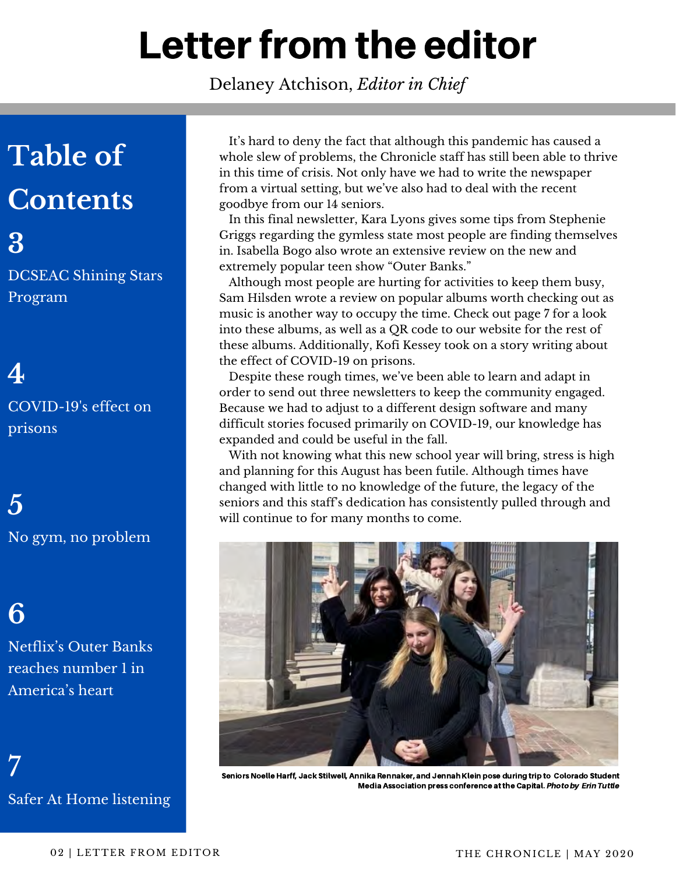# Letter from the editor

Delaney Atchison, *Editor in Chief*

### **Table of Contents**

**3** DCSEAC Shining Stars Program

**4** COVID-19's effect on prisons

**5** No gym, no problem

**6**

Netflix's Outer Banks reaches number 1 in America's heart

7 Safer At Home listening

 It's hard to deny the fact that although this pandemic has caused a whole slew of problems, the Chronicle staff has still been able to thrive in this time of crisis. Not only have we had to write the newspaper from a virtual setting, but we've also had to deal with the recent goodbye from our 14 seniors.

 In this final newsletter, Kara Lyons gives some tips from Stephenie Griggs regarding the gymless state most people are finding themselves in. Isabella Bogo also wrote an extensive review on the new and extremely popular teen show "Outer Banks."

 Although most people are hurting for activities to keep them busy, Sam Hilsden wrote a review on popular albums worth checking out as music is another way to occupy the time. Check out page 7 for a look into these albums, as well as a QR code to our website for the rest of these albums. Additionally, Kofi Kessey took on a story writing about the effect of COVID-19 on prisons.

 Despite these rough times, we've been able to learn and adapt in order to send out three newsletters to keep the community engaged. Because we had to adjust to a different design software and many difficult stories focused primarily on COVID-19, our knowledge has expanded and could be useful in the fall.

 With not knowing what this new school year will bring, stress is high and planning for this August has been futile. Although times have changed with little to no knowledge of the future, the legacy of the seniors and this staff's dedication has consistently pulled through and will continue to for many months to come.



Seniors Noelle Harff, Jack Stilwell, Annika Rennaker, and Jennah Klein pose during trip to Colorado Student Media Association press conference at the Capital. Photo by Erin Tuttle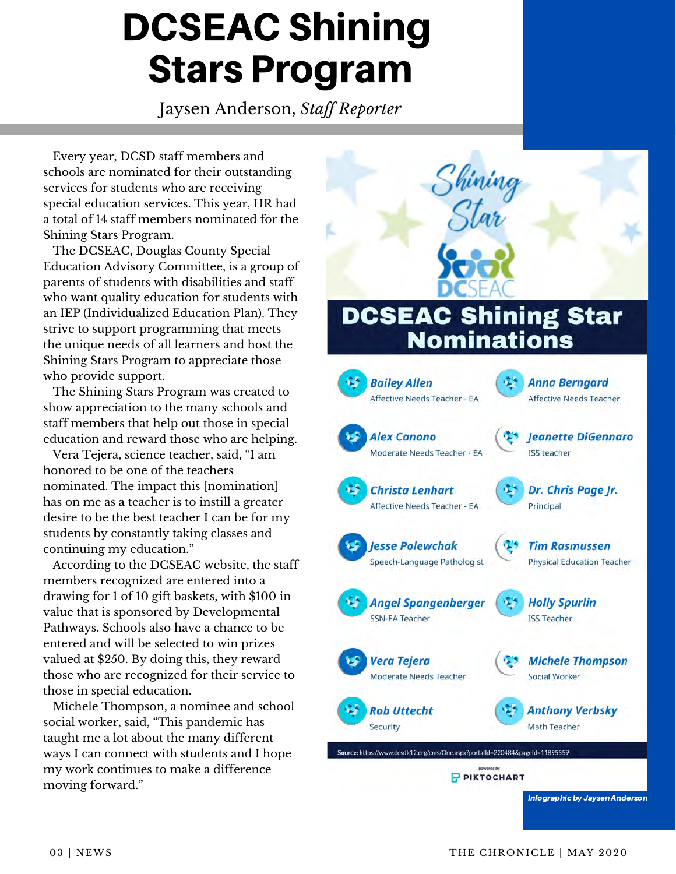### DCSEAC Shining Stars Program

Jaysen Anderson, *Staff Reporter*

 Every year, DCSD staff members and schools are nominated for their outstanding services for students who are receiving special education services. This year, HR had a total of 14 staff members nominated for the Shining Stars Program.

 The DCSEAC, Douglas County Special Education Advisory Committee, is a group of parents of students with disabilities and staff who want quality education for students with an IEP (Individualized Education Plan). They strive to support programming that meets the unique needs of all learners and host the Shining Stars Program to appreciate those who provide support.

 The Shining Stars Program was created to show appreciation to the many schools and staff members that help out those in special education and reward those who are helping.

 Vera Tejera, science teacher, said, "I am honored to be one of the teachers nominated. The impact this [nomination] has on me as a teacher is to instill a greater desire to be the best teacher I can be for my students by constantly taking classes and continuing my education."

 According to the DCSEAC website, the staff members recognized are entered into a drawing for 1 of 10 gift baskets, with \$100 in value that is sponsored by Developmental Pathways. Schools also have a chance to be entered and will be selected to win prizes valued at \$250. By doing this, they reward those who are recognized for their service to those in special education.

 Michele Thompson, a nominee and school social worker, said, "This pandemic has taught me a lot about the many different ways I can connect with students and I hope my work continues to make a difference moving forward."